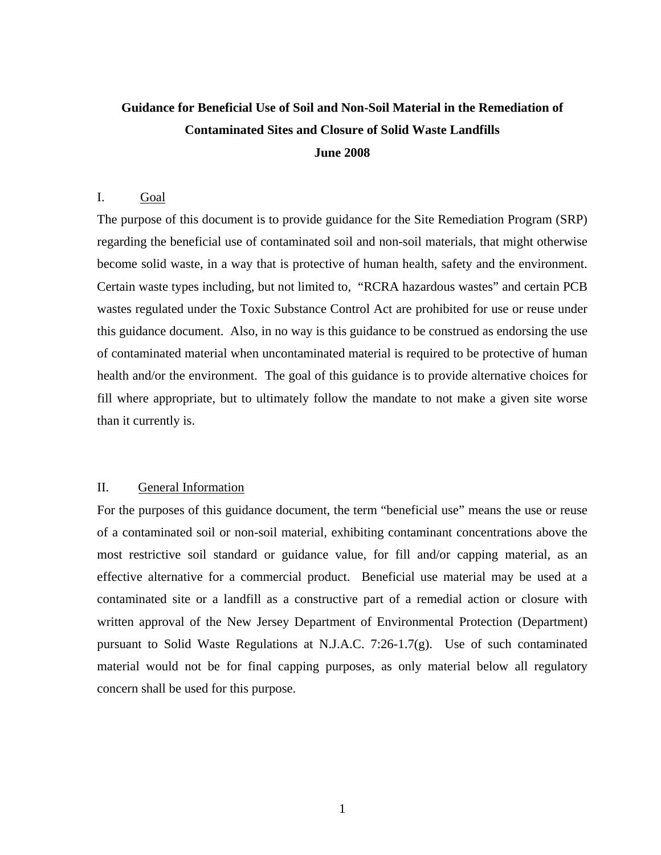# **Guidance for Beneficial Use of Soil and Non-Soil Material in the Remediation of Contaminated Sites and Closure of Solid Waste Landfills June 2008**

# I. Goal

The purpose of this document is to provide guidance for the Site Remediation Program (SRP) regarding the beneficial use of contaminated soil and non-soil materials, that might otherwise become solid waste, in a way that is protective of human health, safety and the environment. Certain waste types including, but not limited to, "RCRA hazardous wastes" and certain PCB wastes regulated under the Toxic Substance Control Act are prohibited for use or reuse under this guidance document. Also, in no way is this guidance to be construed as endorsing the use of contaminated material when uncontaminated material is required to be protective of human health and/or the environment. The goal of this guidance is to provide alternative choices for fill where appropriate, but to ultimately follow the mandate to not make a given site worse than it currently is.

# II. General Information

For the purposes of this guidance document, the term "beneficial use" means the use or reuse of a contaminated soil or non-soil material, exhibiting contaminant concentrations above the most restrictive soil standard or guidance value, for fill and/or capping material, as an effective alternative for a commercial product. Beneficial use material may be used at a contaminated site or a landfill as a constructive part of a remedial action or closure with written approval of the New Jersey Department of Environmental Protection (Department) pursuant to Solid Waste Regulations at N.J.A.C. 7:26-1.7(g). Use of such contaminated material would not be for final capping purposes, as only material below all regulatory concern shall be used for this purpose.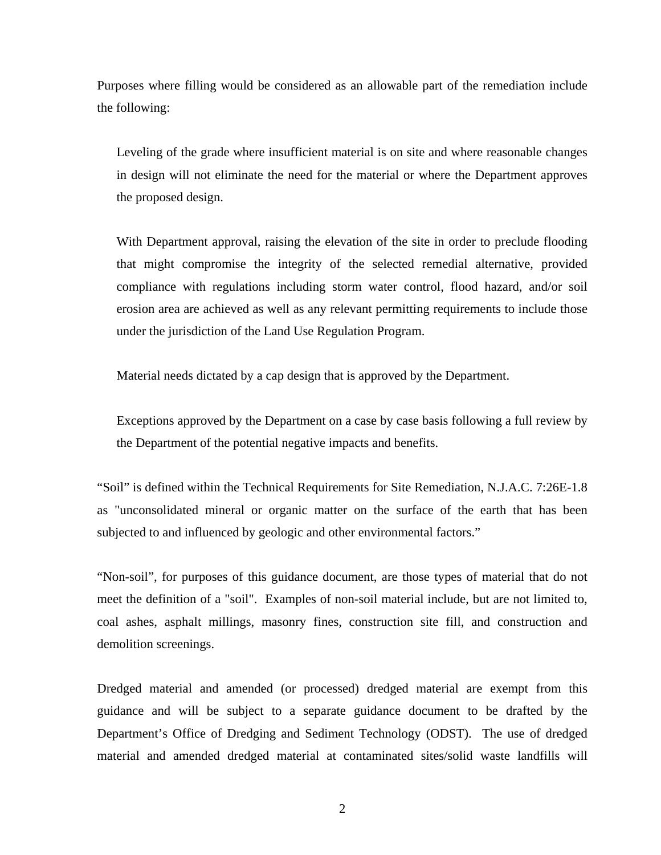Purposes where filling would be considered as an allowable part of the remediation include the following:

Leveling of the grade where insufficient material is on site and where reasonable changes in design will not eliminate the need for the material or where the Department approves the proposed design.

With Department approval, raising the elevation of the site in order to preclude flooding that might compromise the integrity of the selected remedial alternative, provided compliance with regulations including storm water control, flood hazard, and/or soil erosion area are achieved as well as any relevant permitting requirements to include those under the jurisdiction of the Land Use Regulation Program.

Material needs dictated by a cap design that is approved by the Department.

Exceptions approved by the Department on a case by case basis following a full review by the Department of the potential negative impacts and benefits.

"Soil" is defined within the Technical Requirements for Site Remediation, N.J.A.C. 7:26E-1.8 as "unconsolidated mineral or organic matter on the surface of the earth that has been subjected to and influenced by geologic and other environmental factors."

"Non-soil", for purposes of this guidance document, are those types of material that do not meet the definition of a "soil". Examples of non-soil material include, but are not limited to, coal ashes, asphalt millings, masonry fines, construction site fill, and construction and demolition screenings.

Dredged material and amended (or processed) dredged material are exempt from this guidance and will be subject to a separate guidance document to be drafted by the Department's Office of Dredging and Sediment Technology (ODST). The use of dredged material and amended dredged material at contaminated sites/solid waste landfills will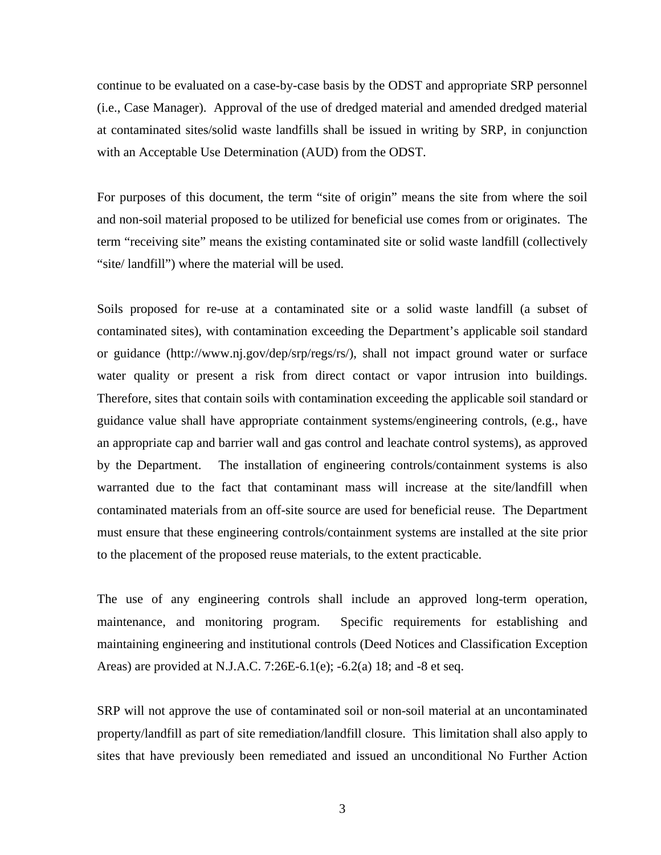continue to be evaluated on a case-by-case basis by the ODST and appropriate SRP personnel (i.e., Case Manager). Approval of the use of dredged material and amended dredged material at contaminated sites/solid waste landfills shall be issued in writing by SRP, in conjunction with an Acceptable Use Determination (AUD) from the ODST.

For purposes of this document, the term "site of origin" means the site from where the soil and non-soil material proposed to be utilized for beneficial use comes from or originates. The term "receiving site" means the existing contaminated site or solid waste landfill (collectively "site/ landfill") where the material will be used.

Soils proposed for re-use at a contaminated site or a solid waste landfill (a subset of contaminated sites), with contamination exceeding the Department's applicable soil standard or guidance (http://www.nj.gov/dep/srp/regs/rs/), shall not impact ground water or surface water quality or present a risk from direct contact or vapor intrusion into buildings. Therefore, sites that contain soils with contamination exceeding the applicable soil standard or guidance value shall have appropriate containment systems/engineering controls, (e.g., have an appropriate cap and barrier wall and gas control and leachate control systems), as approved by the Department. The installation of engineering controls/containment systems is also warranted due to the fact that contaminant mass will increase at the site/landfill when contaminated materials from an off-site source are used for beneficial reuse. The Department must ensure that these engineering controls/containment systems are installed at the site prior to the placement of the proposed reuse materials, to the extent practicable.

The use of any engineering controls shall include an approved long-term operation, maintenance, and monitoring program. Specific requirements for establishing and maintaining engineering and institutional controls (Deed Notices and Classification Exception Areas) are provided at N.J.A.C. 7:26E-6.1(e); -6.2(a) 18; and -8 et seq.

SRP will not approve the use of contaminated soil or non-soil material at an uncontaminated property/landfill as part of site remediation/landfill closure. This limitation shall also apply to sites that have previously been remediated and issued an unconditional No Further Action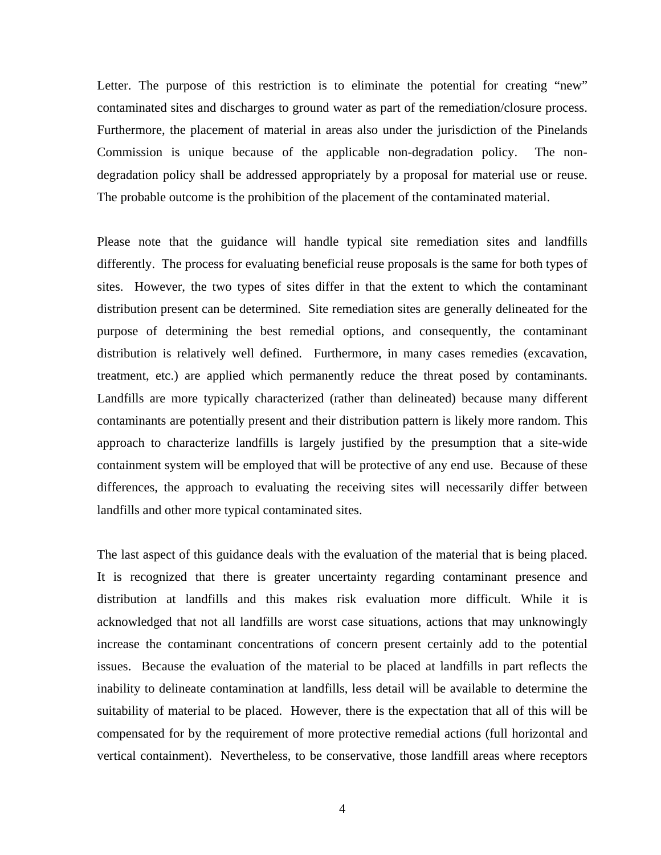Letter. The purpose of this restriction is to eliminate the potential for creating "new" contaminated sites and discharges to ground water as part of the remediation/closure process. Furthermore, the placement of material in areas also under the jurisdiction of the Pinelands Commission is unique because of the applicable non-degradation policy. The nondegradation policy shall be addressed appropriately by a proposal for material use or reuse. The probable outcome is the prohibition of the placement of the contaminated material.

Please note that the guidance will handle typical site remediation sites and landfills differently. The process for evaluating beneficial reuse proposals is the same for both types of sites. However, the two types of sites differ in that the extent to which the contaminant distribution present can be determined. Site remediation sites are generally delineated for the purpose of determining the best remedial options, and consequently, the contaminant distribution is relatively well defined. Furthermore, in many cases remedies (excavation, treatment, etc.) are applied which permanently reduce the threat posed by contaminants. Landfills are more typically characterized (rather than delineated) because many different contaminants are potentially present and their distribution pattern is likely more random. This approach to characterize landfills is largely justified by the presumption that a site-wide containment system will be employed that will be protective of any end use. Because of these differences, the approach to evaluating the receiving sites will necessarily differ between landfills and other more typical contaminated sites.

The last aspect of this guidance deals with the evaluation of the material that is being placed. It is recognized that there is greater uncertainty regarding contaminant presence and distribution at landfills and this makes risk evaluation more difficult. While it is acknowledged that not all landfills are worst case situations, actions that may unknowingly increase the contaminant concentrations of concern present certainly add to the potential issues. Because the evaluation of the material to be placed at landfills in part reflects the inability to delineate contamination at landfills, less detail will be available to determine the suitability of material to be placed. However, there is the expectation that all of this will be compensated for by the requirement of more protective remedial actions (full horizontal and vertical containment). Nevertheless, to be conservative, those landfill areas where receptors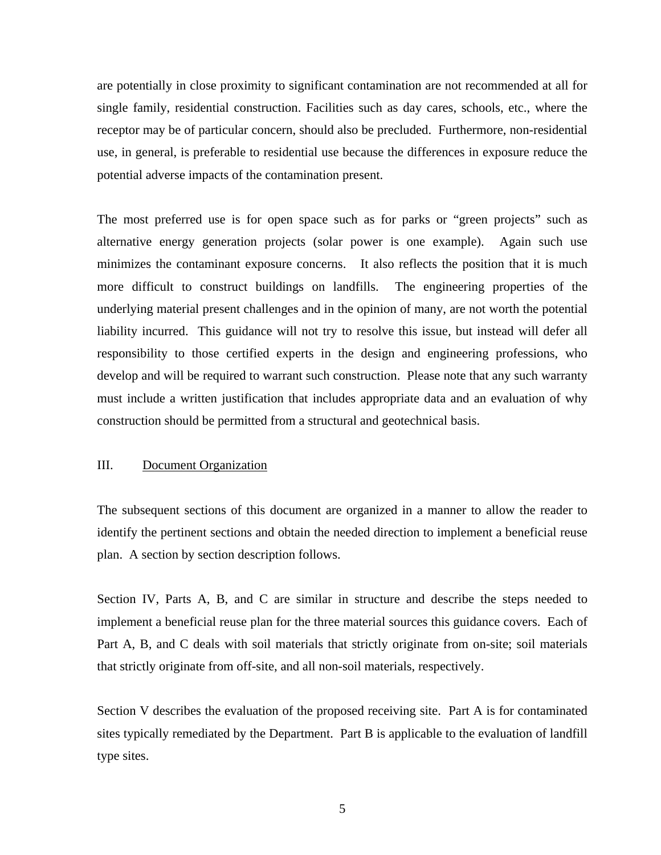are potentially in close proximity to significant contamination are not recommended at all for single family, residential construction. Facilities such as day cares, schools, etc., where the receptor may be of particular concern, should also be precluded. Furthermore, non-residential use, in general, is preferable to residential use because the differences in exposure reduce the potential adverse impacts of the contamination present.

The most preferred use is for open space such as for parks or "green projects" such as alternative energy generation projects (solar power is one example). Again such use minimizes the contaminant exposure concerns. It also reflects the position that it is much more difficult to construct buildings on landfills. The engineering properties of the underlying material present challenges and in the opinion of many, are not worth the potential liability incurred. This guidance will not try to resolve this issue, but instead will defer all responsibility to those certified experts in the design and engineering professions, who develop and will be required to warrant such construction. Please note that any such warranty must include a written justification that includes appropriate data and an evaluation of why construction should be permitted from a structural and geotechnical basis.

## III. Document Organization

The subsequent sections of this document are organized in a manner to allow the reader to identify the pertinent sections and obtain the needed direction to implement a beneficial reuse plan. A section by section description follows.

Section IV, Parts A, B, and C are similar in structure and describe the steps needed to implement a beneficial reuse plan for the three material sources this guidance covers. Each of Part A, B, and C deals with soil materials that strictly originate from on-site; soil materials that strictly originate from off-site, and all non-soil materials, respectively.

Section V describes the evaluation of the proposed receiving site. Part A is for contaminated sites typically remediated by the Department. Part B is applicable to the evaluation of landfill type sites.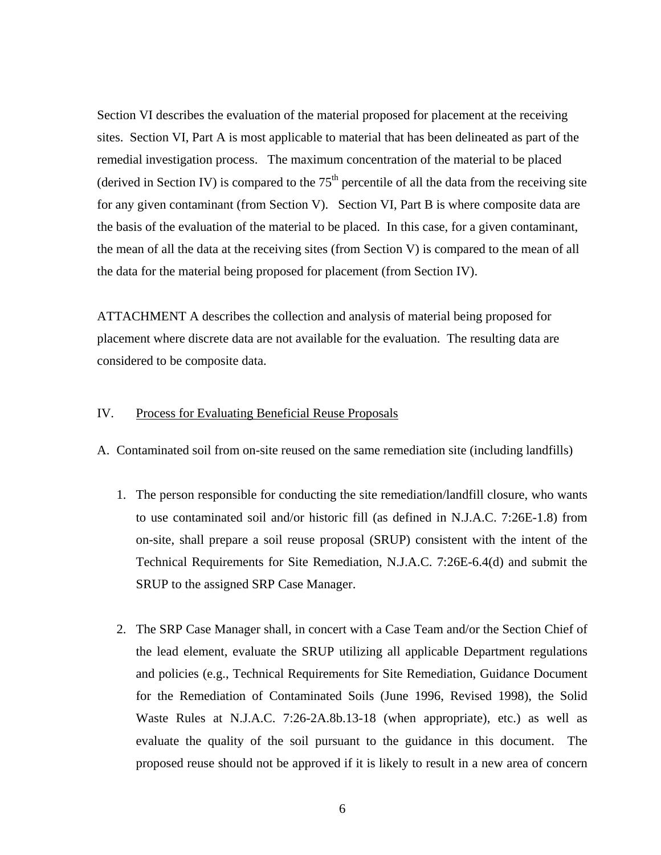Section VI describes the evaluation of the material proposed for placement at the receiving sites. Section VI, Part A is most applicable to material that has been delineated as part of the remedial investigation process. The maximum concentration of the material to be placed (derived in Section IV) is compared to the  $75<sup>th</sup>$  percentile of all the data from the receiving site for any given contaminant (from Section V). Section VI, Part B is where composite data are the basis of the evaluation of the material to be placed. In this case, for a given contaminant, the mean of all the data at the receiving sites (from Section V) is compared to the mean of all the data for the material being proposed for placement (from Section IV).

ATTACHMENT A describes the collection and analysis of material being proposed for placement where discrete data are not available for the evaluation. The resulting data are considered to be composite data.

## IV. Process for Evaluating Beneficial Reuse Proposals

A. Contaminated soil from on-site reused on the same remediation site (including landfills)

- 1. The person responsible for conducting the site remediation/landfill closure, who wants to use contaminated soil and/or historic fill (as defined in N.J.A.C. 7:26E-1.8) from on-site, shall prepare a soil reuse proposal (SRUP) consistent with the intent of the Technical Requirements for Site Remediation, N.J.A.C. 7:26E-6.4(d) and submit the SRUP to the assigned SRP Case Manager.
- 2. The SRP Case Manager shall, in concert with a Case Team and/or the Section Chief of the lead element, evaluate the SRUP utilizing all applicable Department regulations and policies (e.g., Technical Requirements for Site Remediation, Guidance Document for the Remediation of Contaminated Soils (June 1996, Revised 1998), the Solid Waste Rules at N.J.A.C. 7:26-2A.8b.13-18 (when appropriate), etc.) as well as evaluate the quality of the soil pursuant to the guidance in this document. The proposed reuse should not be approved if it is likely to result in a new area of concern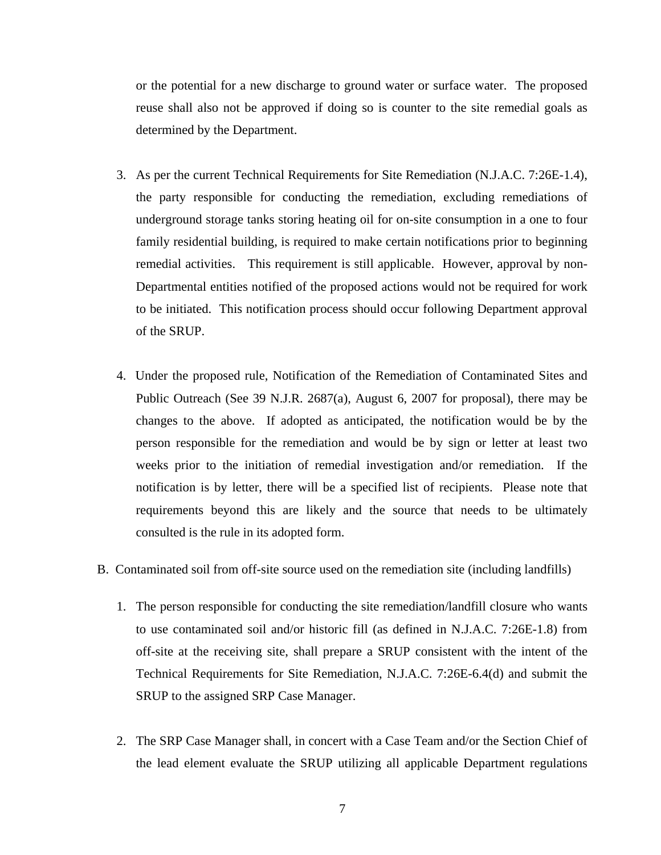or the potential for a new discharge to ground water or surface water. The proposed reuse shall also not be approved if doing so is counter to the site remedial goals as determined by the Department.

- 3. As per the current Technical Requirements for Site Remediation (N.J.A.C. 7:26E-1.4), the party responsible for conducting the remediation, excluding remediations of underground storage tanks storing heating oil for on-site consumption in a one to four family residential building, is required to make certain notifications prior to beginning remedial activities. This requirement is still applicable. However, approval by non-Departmental entities notified of the proposed actions would not be required for work to be initiated. This notification process should occur following Department approval of the SRUP.
- 4. Under the proposed rule, Notification of the Remediation of Contaminated Sites and Public Outreach (See 39 N.J.R. 2687(a), August 6, 2007 for proposal), there may be changes to the above. If adopted as anticipated, the notification would be by the person responsible for the remediation and would be by sign or letter at least two weeks prior to the initiation of remedial investigation and/or remediation. If the notification is by letter, there will be a specified list of recipients. Please note that requirements beyond this are likely and the source that needs to be ultimately consulted is the rule in its adopted form.
- B. Contaminated soil from off-site source used on the remediation site (including landfills)
	- 1. The person responsible for conducting the site remediation/landfill closure who wants to use contaminated soil and/or historic fill (as defined in N.J.A.C. 7:26E-1.8) from off-site at the receiving site, shall prepare a SRUP consistent with the intent of the Technical Requirements for Site Remediation, N.J.A.C. 7:26E-6.4(d) and submit the SRUP to the assigned SRP Case Manager.
	- 2. The SRP Case Manager shall, in concert with a Case Team and/or the Section Chief of the lead element evaluate the SRUP utilizing all applicable Department regulations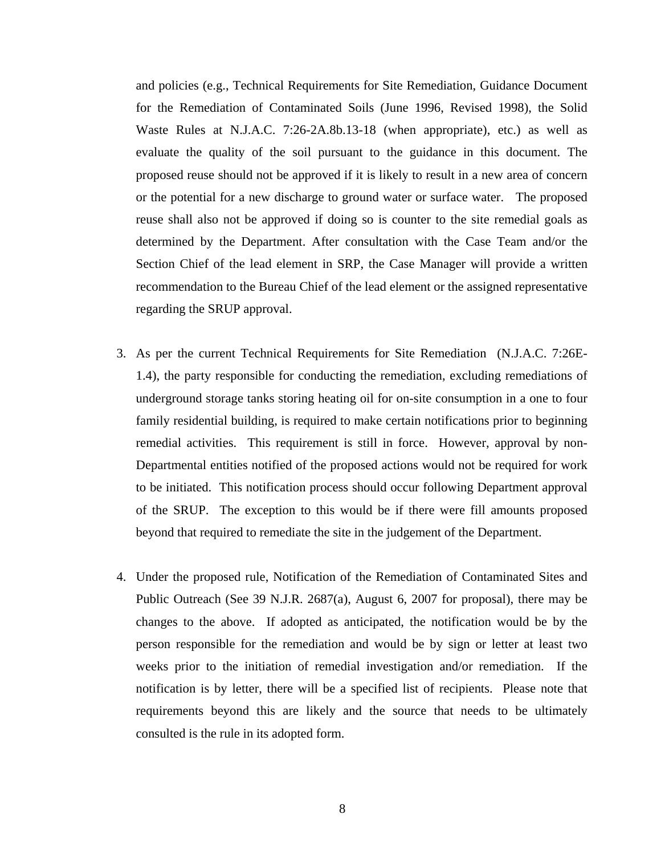and policies (e.g., Technical Requirements for Site Remediation, Guidance Document for the Remediation of Contaminated Soils (June 1996, Revised 1998), the Solid Waste Rules at N.J.A.C. 7:26-2A.8b.13-18 (when appropriate), etc.) as well as evaluate the quality of the soil pursuant to the guidance in this document. The proposed reuse should not be approved if it is likely to result in a new area of concern or the potential for a new discharge to ground water or surface water. The proposed reuse shall also not be approved if doing so is counter to the site remedial goals as determined by the Department. After consultation with the Case Team and/or the Section Chief of the lead element in SRP, the Case Manager will provide a written recommendation to the Bureau Chief of the lead element or the assigned representative regarding the SRUP approval.

- 3. As per the current Technical Requirements for Site Remediation (N.J.A.C. 7:26E-1.4), the party responsible for conducting the remediation, excluding remediations of underground storage tanks storing heating oil for on-site consumption in a one to four family residential building, is required to make certain notifications prior to beginning remedial activities. This requirement is still in force. However, approval by non-Departmental entities notified of the proposed actions would not be required for work to be initiated. This notification process should occur following Department approval of the SRUP. The exception to this would be if there were fill amounts proposed beyond that required to remediate the site in the judgement of the Department.
- 4. Under the proposed rule, Notification of the Remediation of Contaminated Sites and Public Outreach (See 39 N.J.R. 2687(a), August 6, 2007 for proposal), there may be changes to the above. If adopted as anticipated, the notification would be by the person responsible for the remediation and would be by sign or letter at least two weeks prior to the initiation of remedial investigation and/or remediation. If the notification is by letter, there will be a specified list of recipients. Please note that requirements beyond this are likely and the source that needs to be ultimately consulted is the rule in its adopted form.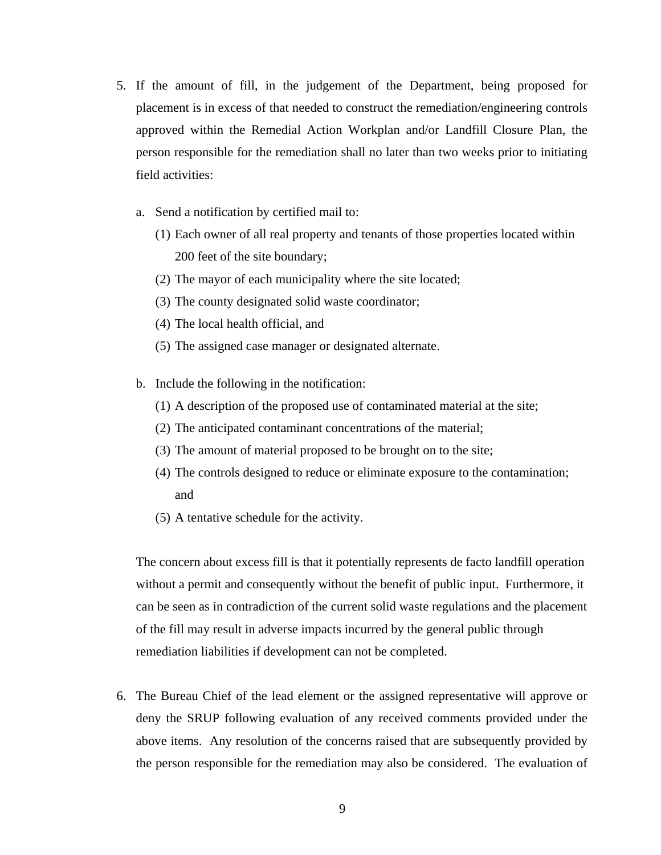- 5. If the amount of fill, in the judgement of the Department, being proposed for placement is in excess of that needed to construct the remediation/engineering controls approved within the Remedial Action Workplan and/or Landfill Closure Plan, the person responsible for the remediation shall no later than two weeks prior to initiating field activities:
	- a. Send a notification by certified mail to:
		- (1) Each owner of all real property and tenants of those properties located within 200 feet of the site boundary;
		- (2) The mayor of each municipality where the site located;
		- (3) The county designated solid waste coordinator;
		- (4) The local health official, and
		- (5) The assigned case manager or designated alternate.
	- b. Include the following in the notification:
		- (1) A description of the proposed use of contaminated material at the site;
		- (2) The anticipated contaminant concentrations of the material;
		- (3) The amount of material proposed to be brought on to the site;
		- (4) The controls designed to reduce or eliminate exposure to the contamination; and
		- (5) A tentative schedule for the activity.

The concern about excess fill is that it potentially represents de facto landfill operation without a permit and consequently without the benefit of public input. Furthermore, it can be seen as in contradiction of the current solid waste regulations and the placement of the fill may result in adverse impacts incurred by the general public through remediation liabilities if development can not be completed.

6. The Bureau Chief of the lead element or the assigned representative will approve or deny the SRUP following evaluation of any received comments provided under the above items. Any resolution of the concerns raised that are subsequently provided by the person responsible for the remediation may also be considered. The evaluation of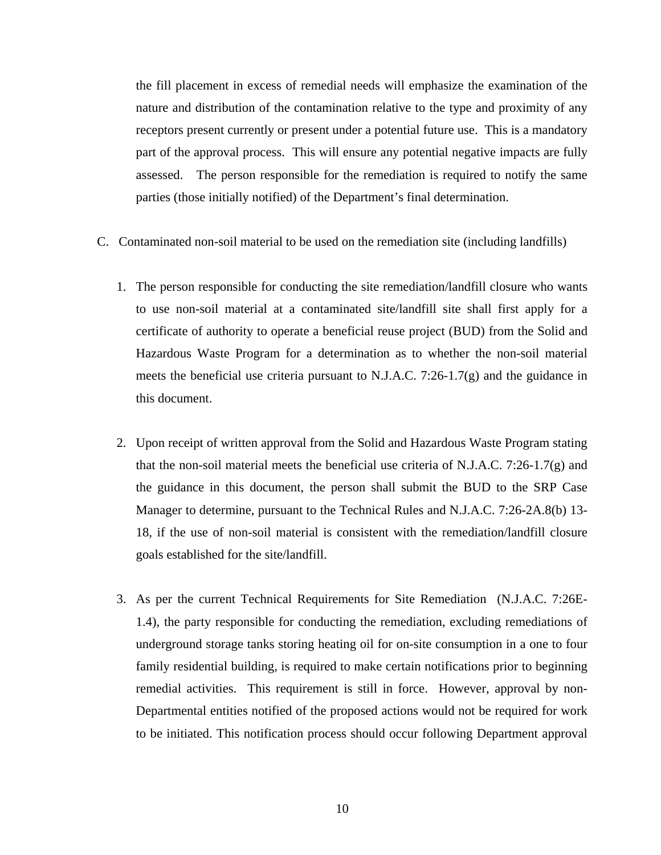the fill placement in excess of remedial needs will emphasize the examination of the nature and distribution of the contamination relative to the type and proximity of any receptors present currently or present under a potential future use. This is a mandatory part of the approval process. This will ensure any potential negative impacts are fully assessed. The person responsible for the remediation is required to notify the same parties (those initially notified) of the Department's final determination.

- C. Contaminated non-soil material to be used on the remediation site (including landfills)
	- 1. The person responsible for conducting the site remediation/landfill closure who wants to use non-soil material at a contaminated site/landfill site shall first apply for a certificate of authority to operate a beneficial reuse project (BUD) from the Solid and Hazardous Waste Program for a determination as to whether the non-soil material meets the beneficial use criteria pursuant to N.J.A.C. 7:26-1.7(g) and the guidance in this document.
	- 2. Upon receipt of written approval from the Solid and Hazardous Waste Program stating that the non-soil material meets the beneficial use criteria of N.J.A.C. 7:26-1.7(g) and the guidance in this document, the person shall submit the BUD to the SRP Case Manager to determine, pursuant to the Technical Rules and N.J.A.C. 7:26-2A.8(b) 13- 18, if the use of non-soil material is consistent with the remediation/landfill closure goals established for the site/landfill.
	- 3. As per the current Technical Requirements for Site Remediation (N.J.A.C. 7:26E-1.4), the party responsible for conducting the remediation, excluding remediations of underground storage tanks storing heating oil for on-site consumption in a one to four family residential building, is required to make certain notifications prior to beginning remedial activities. This requirement is still in force. However, approval by non-Departmental entities notified of the proposed actions would not be required for work to be initiated. This notification process should occur following Department approval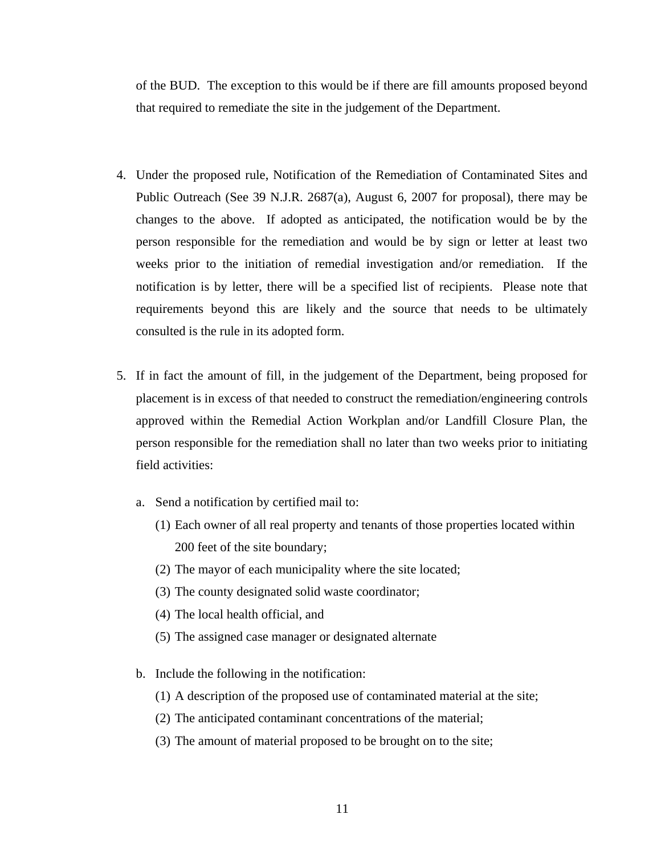of the BUD. The exception to this would be if there are fill amounts proposed beyond that required to remediate the site in the judgement of the Department.

- 4. Under the proposed rule, Notification of the Remediation of Contaminated Sites and Public Outreach (See 39 N.J.R. 2687(a), August 6, 2007 for proposal), there may be changes to the above. If adopted as anticipated, the notification would be by the person responsible for the remediation and would be by sign or letter at least two weeks prior to the initiation of remedial investigation and/or remediation. If the notification is by letter, there will be a specified list of recipients. Please note that requirements beyond this are likely and the source that needs to be ultimately consulted is the rule in its adopted form.
- 5. If in fact the amount of fill, in the judgement of the Department, being proposed for placement is in excess of that needed to construct the remediation/engineering controls approved within the Remedial Action Workplan and/or Landfill Closure Plan, the person responsible for the remediation shall no later than two weeks prior to initiating field activities:
	- a. Send a notification by certified mail to:
		- (1) Each owner of all real property and tenants of those properties located within 200 feet of the site boundary;
		- (2) The mayor of each municipality where the site located;
		- (3) The county designated solid waste coordinator;
		- (4) The local health official, and
		- (5) The assigned case manager or designated alternate
	- b. Include the following in the notification:
		- (1) A description of the proposed use of contaminated material at the site;
		- (2) The anticipated contaminant concentrations of the material;
		- (3) The amount of material proposed to be brought on to the site;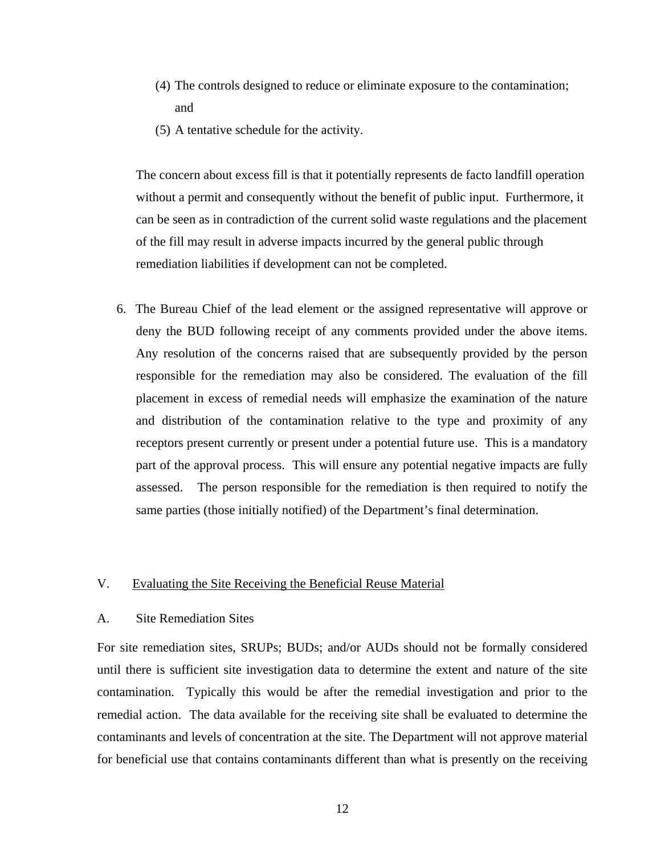- (4) The controls designed to reduce or eliminate exposure to the contamination; and
- (5) A tentative schedule for the activity.

The concern about excess fill is that it potentially represents de facto landfill operation without a permit and consequently without the benefit of public input. Furthermore, it can be seen as in contradiction of the current solid waste regulations and the placement of the fill may result in adverse impacts incurred by the general public through remediation liabilities if development can not be completed.

 6. The Bureau Chief of the lead element or the assigned representative will approve or deny the BUD following receipt of any comments provided under the above items. Any resolution of the concerns raised that are subsequently provided by the person responsible for the remediation may also be considered. The evaluation of the fill placement in excess of remedial needs will emphasize the examination of the nature and distribution of the contamination relative to the type and proximity of any receptors present currently or present under a potential future use. This is a mandatory part of the approval process. This will ensure any potential negative impacts are fully assessed. The person responsible for the remediation is then required to notify the same parties (those initially notified) of the Department's final determination.

# V. Evaluating the Site Receiving the Beneficial Reuse Material

## A. Site Remediation Sites

For site remediation sites, SRUPs; BUDs; and/or AUDs should not be formally considered until there is sufficient site investigation data to determine the extent and nature of the site contamination. Typically this would be after the remedial investigation and prior to the remedial action. The data available for the receiving site shall be evaluated to determine the contaminants and levels of concentration at the site. The Department will not approve material for beneficial use that contains contaminants different than what is presently on the receiving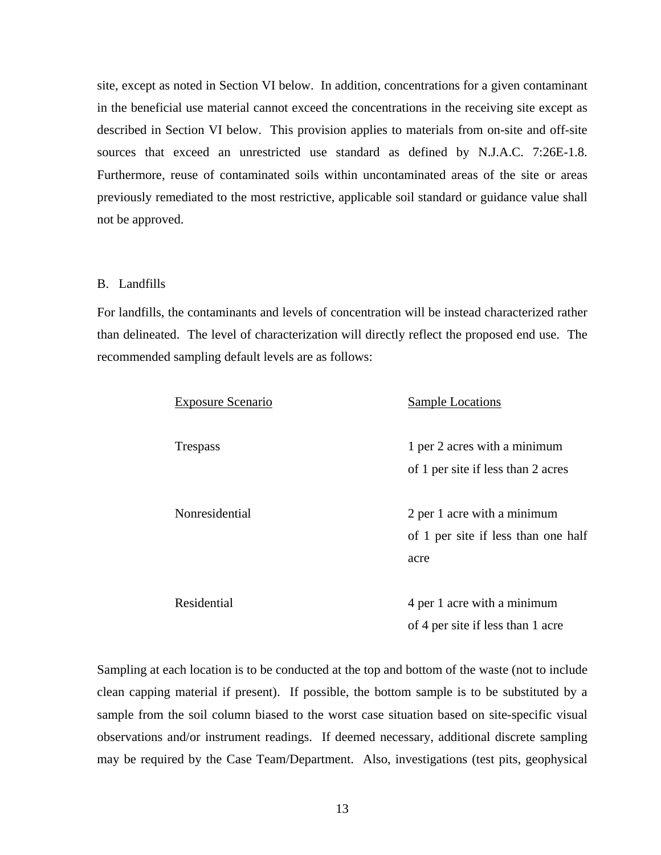site, except as noted in Section VI below. In addition, concentrations for a given contaminant in the beneficial use material cannot exceed the concentrations in the receiving site except as described in Section VI below. This provision applies to materials from on-site and off-site sources that exceed an unrestricted use standard as defined by N.J.A.C. 7:26E-1.8. Furthermore, reuse of contaminated soils within uncontaminated areas of the site or areas previously remediated to the most restrictive, applicable soil standard or guidance value shall not be approved.

#### B. Landfills

For landfills, the contaminants and levels of concentration will be instead characterized rather than delineated. The level of characterization will directly reflect the proposed end use. The recommended sampling default levels are as follows:

| <b>Exposure Scenario</b> | <b>Sample Locations</b>             |
|--------------------------|-------------------------------------|
| <b>Trespass</b>          | 1 per 2 acres with a minimum        |
|                          | of 1 per site if less than 2 acres  |
| Nonresidential           | 2 per 1 acre with a minimum         |
|                          | of 1 per site if less than one half |
|                          | acre                                |
| Residential              | 4 per 1 acre with a minimum         |
|                          | of 4 per site if less than 1 acre   |

Sampling at each location is to be conducted at the top and bottom of the waste (not to include clean capping material if present). If possible, the bottom sample is to be substituted by a sample from the soil column biased to the worst case situation based on site-specific visual observations and/or instrument readings. If deemed necessary, additional discrete sampling may be required by the Case Team/Department. Also, investigations (test pits, geophysical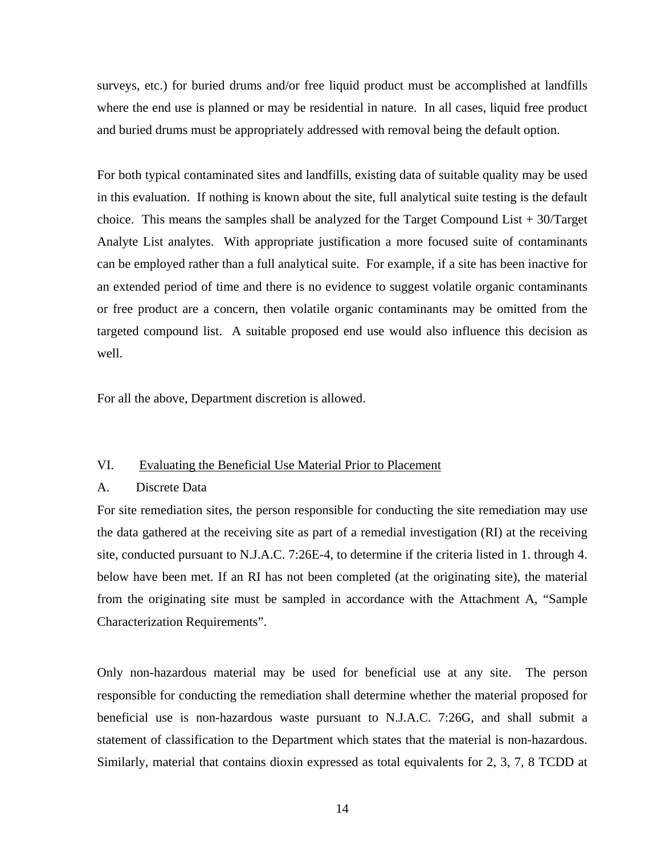surveys, etc.) for buried drums and/or free liquid product must be accomplished at landfills where the end use is planned or may be residential in nature. In all cases, liquid free product and buried drums must be appropriately addressed with removal being the default option.

For both typical contaminated sites and landfills, existing data of suitable quality may be used in this evaluation. If nothing is known about the site, full analytical suite testing is the default choice. This means the samples shall be analyzed for the Target Compound List  $+30$ /Target Analyte List analytes. With appropriate justification a more focused suite of contaminants can be employed rather than a full analytical suite. For example, if a site has been inactive for an extended period of time and there is no evidence to suggest volatile organic contaminants or free product are a concern, then volatile organic contaminants may be omitted from the targeted compound list. A suitable proposed end use would also influence this decision as well.

For all the above, Department discretion is allowed.

## VI. Evaluating the Beneficial Use Material Prior to Placement

## A. Discrete Data

For site remediation sites, the person responsible for conducting the site remediation may use the data gathered at the receiving site as part of a remedial investigation (RI) at the receiving site, conducted pursuant to N.J.A.C. 7:26E-4, to determine if the criteria listed in 1. through 4. below have been met. If an RI has not been completed (at the originating site), the material from the originating site must be sampled in accordance with the Attachment A, "Sample Characterization Requirements".

Only non-hazardous material may be used for beneficial use at any site. The person responsible for conducting the remediation shall determine whether the material proposed for beneficial use is non-hazardous waste pursuant to N.J.A.C. 7:26G, and shall submit a statement of classification to the Department which states that the material is non-hazardous. Similarly, material that contains dioxin expressed as total equivalents for 2, 3, 7, 8 TCDD at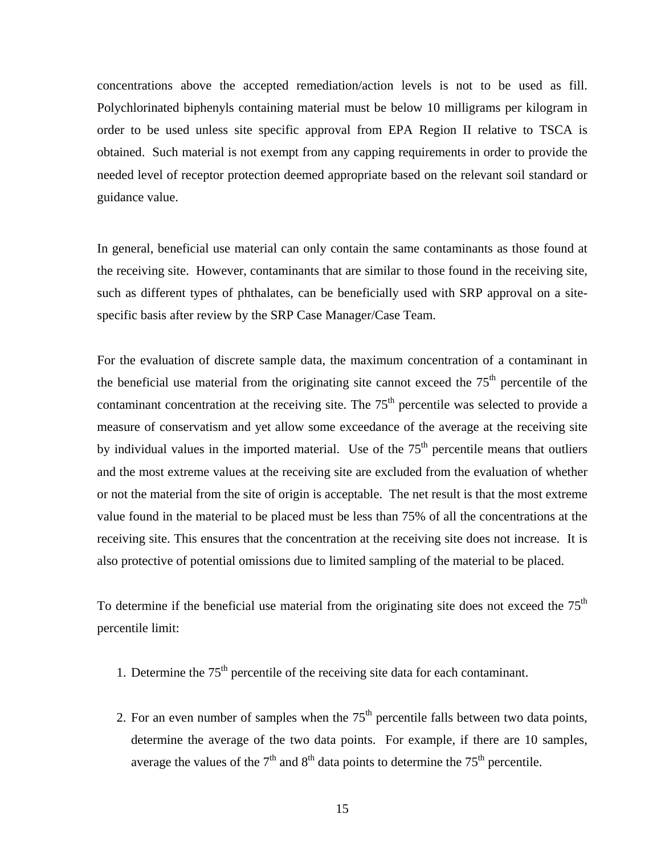concentrations above the accepted remediation/action levels is not to be used as fill. Polychlorinated biphenyls containing material must be below 10 milligrams per kilogram in order to be used unless site specific approval from EPA Region II relative to TSCA is obtained. Such material is not exempt from any capping requirements in order to provide the needed level of receptor protection deemed appropriate based on the relevant soil standard or guidance value.

In general, beneficial use material can only contain the same contaminants as those found at the receiving site. However, contaminants that are similar to those found in the receiving site, such as different types of phthalates, can be beneficially used with SRP approval on a sitespecific basis after review by the SRP Case Manager/Case Team.

For the evaluation of discrete sample data, the maximum concentration of a contaminant in the beneficial use material from the originating site cannot exceed the  $75<sup>th</sup>$  percentile of the contaminant concentration at the receiving site. The  $75<sup>th</sup>$  percentile was selected to provide a measure of conservatism and yet allow some exceedance of the average at the receiving site by individual values in the imported material. Use of the  $75<sup>th</sup>$  percentile means that outliers and the most extreme values at the receiving site are excluded from the evaluation of whether or not the material from the site of origin is acceptable. The net result is that the most extreme value found in the material to be placed must be less than 75% of all the concentrations at the receiving site. This ensures that the concentration at the receiving site does not increase. It is also protective of potential omissions due to limited sampling of the material to be placed.

To determine if the beneficial use material from the originating site does not exceed the  $75<sup>th</sup>$ percentile limit:

- 1. Determine the  $75<sup>th</sup>$  percentile of the receiving site data for each contaminant.
- 2. For an even number of samples when the  $75<sup>th</sup>$  percentile falls between two data points, determine the average of the two data points. For example, if there are 10 samples, average the values of the  $7<sup>th</sup>$  and  $8<sup>th</sup>$  data points to determine the  $75<sup>th</sup>$  percentile.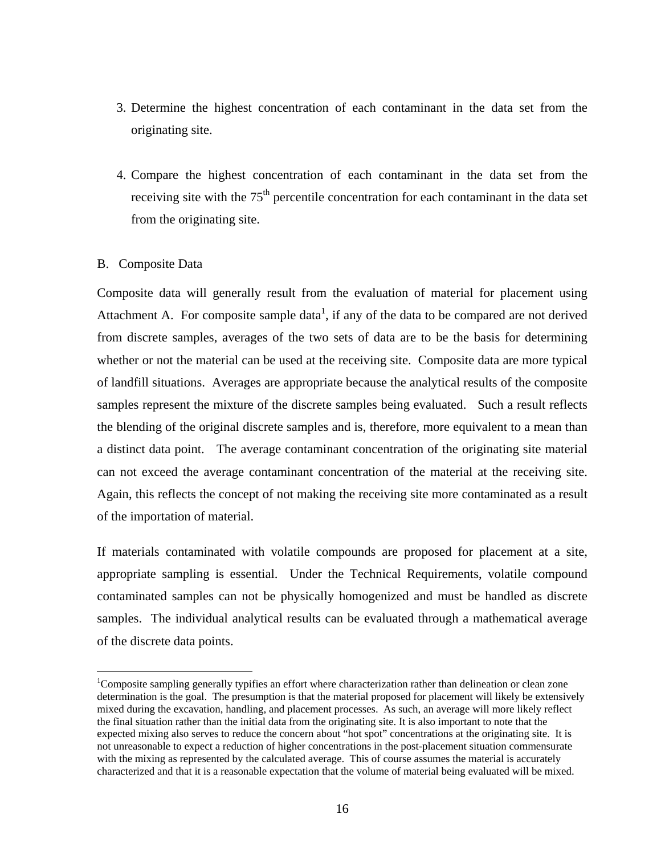- 3. Determine the highest concentration of each contaminant in the data set from the originating site.
- 4. Compare the highest concentration of each contaminant in the data set from the receiving site with the  $75<sup>th</sup>$  percentile concentration for each contaminant in the data set from the originating site.

# B. Composite Data

1

Composite data will generally result from the evaluation of material for placement using Attachment A. For composite sample data<sup>1</sup>, if any of the data to be compared are not derived from discrete samples, averages of the two sets of data are to be the basis for determining whether or not the material can be used at the receiving site. Composite data are more typical of landfill situations. Averages are appropriate because the analytical results of the composite samples represent the mixture of the discrete samples being evaluated. Such a result reflects the blending of the original discrete samples and is, therefore, more equivalent to a mean than a distinct data point. The average contaminant concentration of the originating site material can not exceed the average contaminant concentration of the material at the receiving site. Again, this reflects the concept of not making the receiving site more contaminated as a result of the importation of material.

If materials contaminated with volatile compounds are proposed for placement at a site, appropriate sampling is essential. Under the Technical Requirements, volatile compound contaminated samples can not be physically homogenized and must be handled as discrete samples. The individual analytical results can be evaluated through a mathematical average of the discrete data points.

<sup>&</sup>lt;sup>1</sup>Composite sampling generally typifies an effort where characterization rather than delineation or clean zone determination is the goal. The presumption is that the material proposed for placement will likely be extensively mixed during the excavation, handling, and placement processes. As such, an average will more likely reflect the final situation rather than the initial data from the originating site. It is also important to note that the expected mixing also serves to reduce the concern about "hot spot" concentrations at the originating site. It is not unreasonable to expect a reduction of higher concentrations in the post-placement situation commensurate with the mixing as represented by the calculated average. This of course assumes the material is accurately characterized and that it is a reasonable expectation that the volume of material being evaluated will be mixed.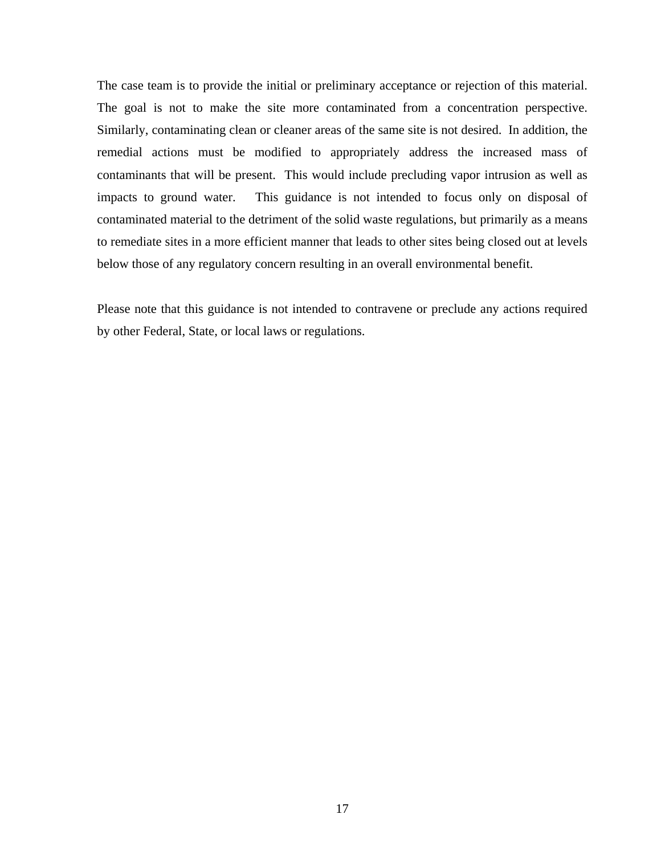The case team is to provide the initial or preliminary acceptance or rejection of this material. The goal is not to make the site more contaminated from a concentration perspective. Similarly, contaminating clean or cleaner areas of the same site is not desired. In addition, the remedial actions must be modified to appropriately address the increased mass of contaminants that will be present. This would include precluding vapor intrusion as well as impacts to ground water. This guidance is not intended to focus only on disposal of contaminated material to the detriment of the solid waste regulations, but primarily as a means to remediate sites in a more efficient manner that leads to other sites being closed out at levels below those of any regulatory concern resulting in an overall environmental benefit.

Please note that this guidance is not intended to contravene or preclude any actions required by other Federal, State, or local laws or regulations.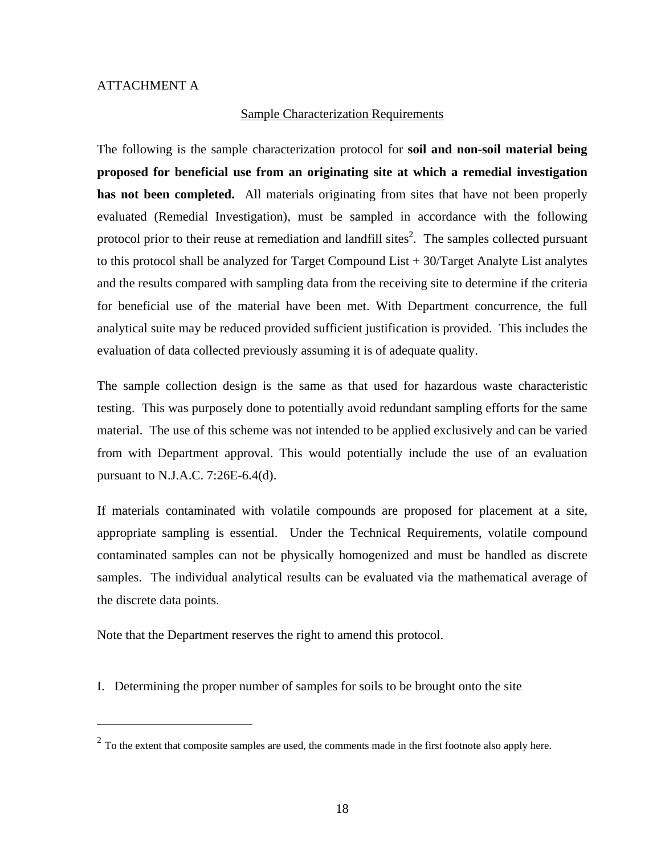$\overline{a}$ 

## Sample Characterization Requirements

The following is the sample characterization protocol for **soil and non-soil material being proposed for beneficial use from an originating site at which a remedial investigation has not been completed.** All materials originating from sites that have not been properly evaluated (Remedial Investigation), must be sampled in accordance with the following protocol prior to their reuse at remediation and landfill sites<sup>2</sup>. The samples collected pursuant to this protocol shall be analyzed for Target Compound List  $+$  30/Target Analyte List analytes and the results compared with sampling data from the receiving site to determine if the criteria for beneficial use of the material have been met. With Department concurrence, the full analytical suite may be reduced provided sufficient justification is provided. This includes the evaluation of data collected previously assuming it is of adequate quality.

The sample collection design is the same as that used for hazardous waste characteristic testing. This was purposely done to potentially avoid redundant sampling efforts for the same material. The use of this scheme was not intended to be applied exclusively and can be varied from with Department approval. This would potentially include the use of an evaluation pursuant to N.J.A.C. 7:26E-6.4(d).

If materials contaminated with volatile compounds are proposed for placement at a site, appropriate sampling is essential. Under the Technical Requirements, volatile compound contaminated samples can not be physically homogenized and must be handled as discrete samples. The individual analytical results can be evaluated via the mathematical average of the discrete data points.

Note that the Department reserves the right to amend this protocol.

I. Determining the proper number of samples for soils to be brought onto the site

 $2^{2}$  To the extent that composite samples are used, the comments made in the first footnote also apply here.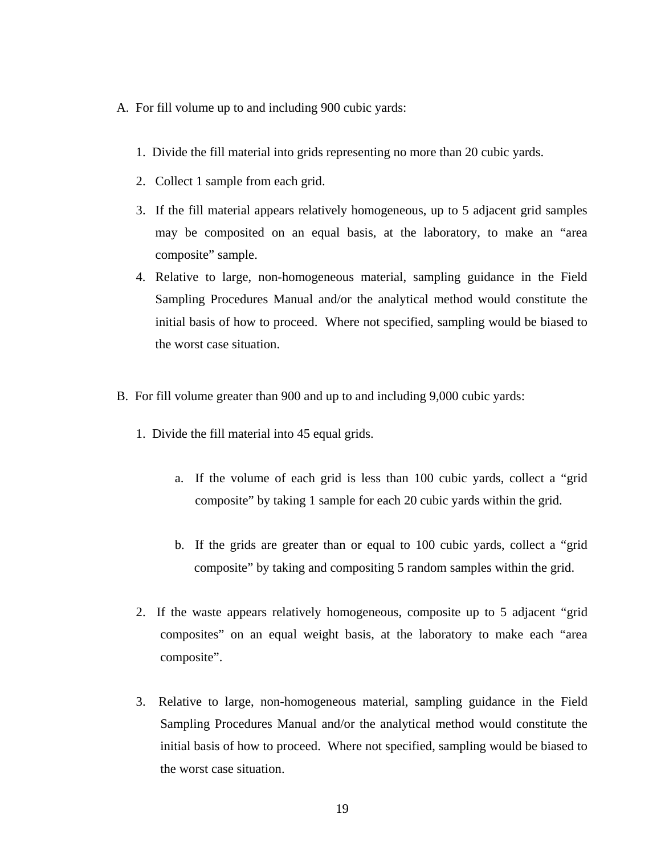- A. For fill volume up to and including 900 cubic yards:
	- 1. Divide the fill material into grids representing no more than 20 cubic yards.
	- 2. Collect 1 sample from each grid.
	- 3. If the fill material appears relatively homogeneous, up to 5 adjacent grid samples may be composited on an equal basis, at the laboratory, to make an "area composite" sample.
	- 4. Relative to large, non-homogeneous material, sampling guidance in the Field Sampling Procedures Manual and/or the analytical method would constitute the initial basis of how to proceed. Where not specified, sampling would be biased to the worst case situation.
- B. For fill volume greater than 900 and up to and including 9,000 cubic yards:
	- 1. Divide the fill material into 45 equal grids.
		- a. If the volume of each grid is less than 100 cubic yards, collect a "grid composite" by taking 1 sample for each 20 cubic yards within the grid.
		- b. If the grids are greater than or equal to 100 cubic yards, collect a "grid composite" by taking and compositing 5 random samples within the grid.
	- 2. If the waste appears relatively homogeneous, composite up to 5 adjacent "grid composites" on an equal weight basis, at the laboratory to make each "area composite".
	- 3. Relative to large, non-homogeneous material, sampling guidance in the Field Sampling Procedures Manual and/or the analytical method would constitute the initial basis of how to proceed. Where not specified, sampling would be biased to the worst case situation.